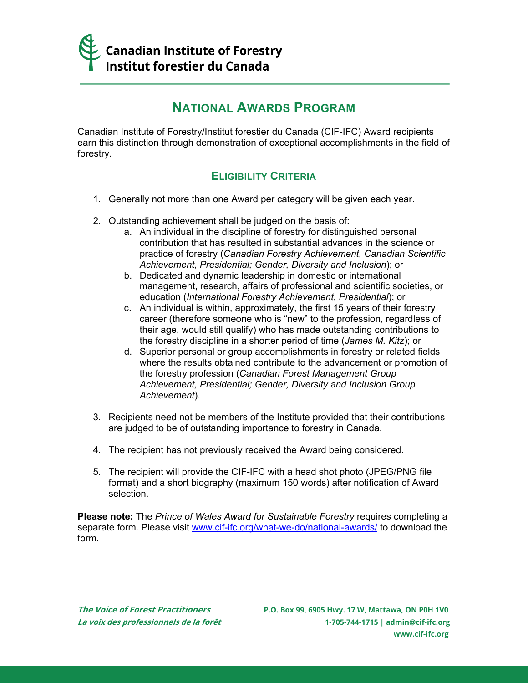

# **NATIONAL AWARDS PROGRAM**

Canadian Institute of Forestry/Institut forestier du Canada (CIF-IFC) Award recipients earn this distinction through demonstration of exceptional accomplishments in the field of forestry.

# **ELIGIBILITY CRITERIA**

- 1. Generally not more than one Award per category will be given each year.
- 2. Outstanding achievement shall be judged on the basis of:
	- a. An individual in the discipline of forestry for distinguished personal contribution that has resulted in substantial advances in the science or practice of forestry (*Canadian Forestry Achievement, Canadian Scientific Achievement, Presidential; Gender, Diversity and Inclusion*); or
	- b. Dedicated and dynamic leadership in domestic or international management, research, affairs of professional and scientific societies, or education (*International Forestry Achievement, Presidential*); or
	- c. An individual is within, approximately, the first 15 years of their forestry career (therefore someone who is "new" to the profession, regardless of their age, would still qualify) who has made outstanding contributions to the forestry discipline in a shorter period of time (*James M. Kitz*); or
	- d. Superior personal or group accomplishments in forestry or related fields where the results obtained contribute to the advancement or promotion of the forestry profession (*Canadian Forest Management Group Achievement, Presidential; Gender, Diversity and Inclusion Group Achievement*).
- 3. Recipients need not be members of the Institute provided that their contributions are judged to be of outstanding importance to forestry in Canada.
- 4. The recipient has not previously received the Award being considered.
- 5. The recipient will provide the CIF-IFC with a head shot photo (JPEG/PNG file format) and a short biography (maximum 150 words) after notification of Award selection.

**Please note:** The *Prince of Wales Award for Sustainable Forestry* requires completing a separate form. Please visit [www.cif-ifc.org/what-we-do/national-awards/](https://www.cif-ifc.org/what-we-do/national-awards/) to download the form.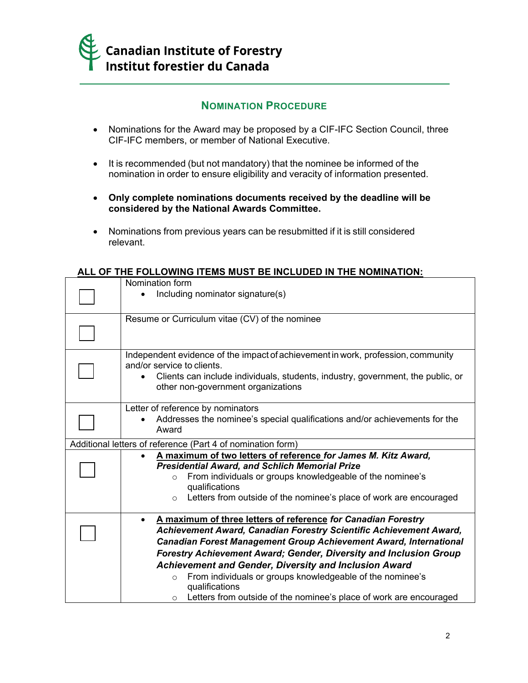

# **NOMINATION PROCEDURE**

- Nominations for the Award may be proposed by a CIF-IFC Section Council, three CIF-IFC members, or member of National Executive.
- It is recommended (but not mandatory) that the nominee be informed of the nomination in order to ensure eligibility and veracity of information presented.
- **Only complete nominations documents received by the deadline will be considered by the National Awards Committee.**
- Nominations from previous years can be resubmitted if it is still considered relevant.

# **ALL OF THE FOLLOWING ITEMS MUST BE INCLUDED IN THE NOMINATION:**

| Nomination form                                                                                                                                                                                                                                                                                                                                                                                                        |
|------------------------------------------------------------------------------------------------------------------------------------------------------------------------------------------------------------------------------------------------------------------------------------------------------------------------------------------------------------------------------------------------------------------------|
| Including nominator signature(s)                                                                                                                                                                                                                                                                                                                                                                                       |
| Resume or Curriculum vitae (CV) of the nominee                                                                                                                                                                                                                                                                                                                                                                         |
| Independent evidence of the impact of achievement in work, profession, community<br>and/or service to clients.<br>Clients can include individuals, students, industry, government, the public, or<br>other non-government organizations                                                                                                                                                                                |
| Letter of reference by nominators<br>Addresses the nominee's special qualifications and/or achievements for the<br>Award                                                                                                                                                                                                                                                                                               |
| Additional letters of reference (Part 4 of nomination form)                                                                                                                                                                                                                                                                                                                                                            |
| A maximum of two letters of reference for James M. Kitz Award,<br><b>Presidential Award, and Schlich Memorial Prize</b><br>From individuals or groups knowledgeable of the nominee's<br>$\circ$<br>qualifications<br>Letters from outside of the nominee's place of work are encouraged<br>$\circ$                                                                                                                     |
| A maximum of three letters of reference for Canadian Forestry<br>Achievement Award, Canadian Forestry Scientific Achievement Award,<br>Canadian Forest Management Group Achievement Award, International<br>Forestry Achievement Award; Gender, Diversity and Inclusion Group<br><b>Achievement and Gender, Diversity and Inclusion Award</b><br>From individuals or groups knowledgeable of the nominee's<br>$\Omega$ |
| qualifications<br>Letters from outside of the nominee's place of work are encouraged<br>$\circ$                                                                                                                                                                                                                                                                                                                        |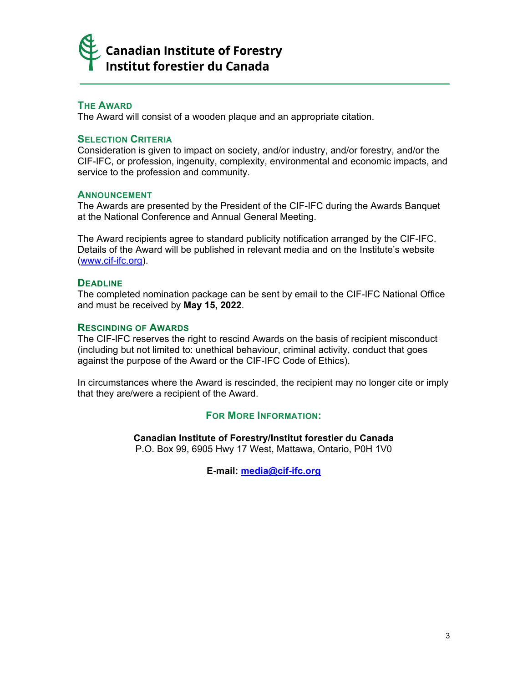

## **THE AWARD**

The Award will consist of a wooden plaque and an appropriate citation.

#### **SELECTION CRITERIA**

Consideration is given to impact on society, and/or industry, and/or forestry, and/or the CIF-IFC, or profession, ingenuity, complexity, environmental and economic impacts, and service to the profession and community.

#### **ANNOUNCEMENT**

The Awards are presented by the President of the CIF-IFC during the Awards Banquet at the National Conference and Annual General Meeting.

The Award recipients agree to standard publicity notification arranged by the CIF-IFC. Details of the Award will be published in relevant media and on the Institute's website [\(www.cif-ifc.org\)](http://www.cif-ifc.org/).

#### **DEADLINE**

The completed nomination package can be sent by email to the CIF-IFC National Office and must be received by **May 15, 2022**.

#### **RESCINDING OF AWARDS**

The CIF-IFC reserves the right to rescind Awards on the basis of recipient misconduct (including but not limited to: unethical behaviour, criminal activity, conduct that goes against the purpose of the Award or the CIF-IFC Code of Ethics).

In circumstances where the Award is rescinded, the recipient may no longer cite or imply that they are/were a recipient of the Award.

### **FOR MORE INFORMATION:**

**Canadian Institute of Forestry/Institut forestier du Canada**

P.O. Box 99, 6905 Hwy 17 West, Mattawa, Ontario, P0H 1V0

**E-mail: [media@cif-ifc.org](mailto:media@cif-ifc.org)**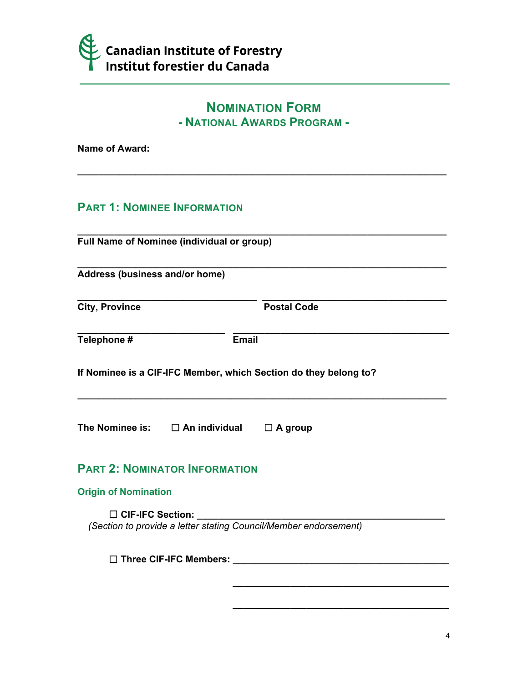

# **NOMINATION FORM - NATIONAL AWARDS PROGRAM -**

**\_\_\_\_\_\_\_\_\_\_\_\_\_\_\_\_\_\_\_\_\_\_\_\_\_\_\_\_\_\_\_\_\_\_\_\_\_\_\_\_\_\_\_\_\_\_\_\_\_\_\_\_\_\_\_\_\_\_\_\_\_\_\_\_\_\_\_\_\_\_**

**Name of Award:**

# **PART 1: NOMINEE INFORMATION**

**\_\_\_\_\_\_\_\_\_\_\_\_\_\_\_\_\_\_\_\_\_\_\_\_\_\_\_\_\_\_\_\_\_\_\_\_\_\_\_\_\_\_\_\_\_\_\_\_\_\_\_\_\_\_\_\_\_\_\_\_\_\_\_\_\_\_\_\_\_\_ Full Name of Nominee (individual or group)**

**\_\_\_\_\_\_\_\_\_\_\_\_\_\_\_\_\_\_\_\_\_\_\_\_\_\_\_\_\_\_\_\_\_\_\_\_\_\_\_\_\_\_\_\_\_\_\_\_\_\_\_\_\_\_\_\_\_\_\_\_\_\_\_\_\_\_\_\_\_\_ Address (business and/or home)**

**City, Province City, Postal Code** 

**\_\_\_\_\_\_\_\_\_\_\_\_\_\_\_\_\_\_\_\_\_\_\_\_\_\_\_\_\_\_\_\_\_\_ \_\_\_\_\_\_\_\_\_\_\_\_\_\_\_\_\_\_\_\_\_\_\_\_\_\_\_\_\_\_\_\_\_\_\_**

**\_\_\_\_\_\_\_\_\_\_\_\_\_\_\_\_\_\_\_\_\_\_\_\_\_\_\_\_\_\_\_\_\_\_\_\_\_\_\_\_\_**

**\_\_\_\_\_\_\_\_\_\_\_\_\_\_\_\_\_\_\_\_\_\_\_\_\_\_\_\_\_\_\_\_\_\_\_\_\_\_\_\_\_**

| Telephone # | <b>Email</b> |
|-------------|--------------|
|-------------|--------------|

**\_\_\_\_\_\_\_\_\_\_\_\_\_\_\_\_\_\_\_\_\_\_\_\_\_\_\_\_ \_\_\_\_\_\_\_\_\_\_\_\_\_\_\_\_\_\_\_\_\_\_\_\_\_\_\_\_\_\_\_\_\_\_\_\_\_\_\_\_\_**

**\_\_\_\_\_\_\_\_\_\_\_\_\_\_\_\_\_\_\_\_\_\_\_\_\_\_\_\_\_\_\_\_\_\_\_\_\_\_\_\_\_\_\_\_\_\_\_\_\_\_\_\_\_\_\_\_\_\_\_\_\_\_\_\_\_\_\_\_\_\_**

**If Nominee is a CIF-IFC Member, which Section do they belong to?**

**The Nominee is:** ☐ **An individual** ☐ **A group**

# **PART 2: NOMINATOR INFORMATION**

# **Origin of Nomination**

☐ **CIF-IFC Section: \_\_\_\_\_\_\_\_\_\_\_\_\_\_\_\_\_\_\_\_\_\_\_\_\_\_\_\_\_\_\_\_\_\_\_\_\_\_\_\_\_\_\_\_\_\_\_**  *(Section to provide a letter stating Council/Member endorsement)*

☐ **Three CIF-IFC Members: \_\_\_\_\_\_\_\_\_\_\_\_\_\_\_\_\_\_\_\_\_\_\_\_\_\_\_\_\_\_\_\_\_\_\_\_\_\_\_\_\_**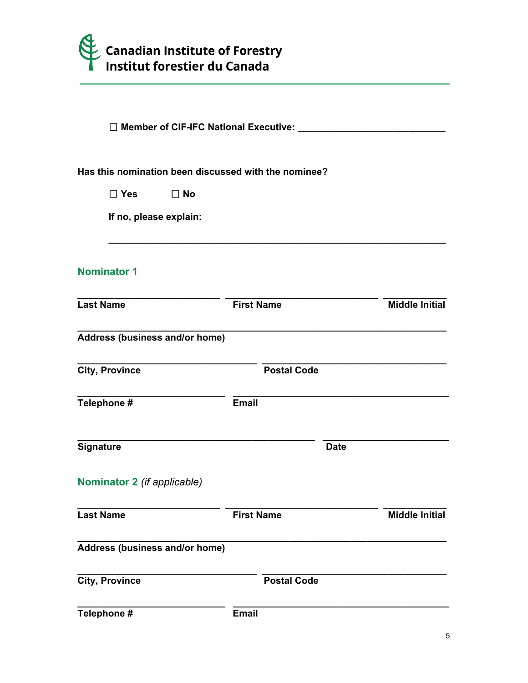

|                                       |              | □ Member of CIF-IFC National Executive: ______       |             |                       |  |
|---------------------------------------|--------------|------------------------------------------------------|-------------|-----------------------|--|
|                                       |              | Has this nomination been discussed with the nominee? |             |                       |  |
| $\square$ Yes                         | $\square$ No |                                                      |             |                       |  |
| If no, please explain:                |              |                                                      |             |                       |  |
| <b>Nominator 1</b>                    |              |                                                      |             |                       |  |
| <b>Last Name</b>                      |              | <b>First Name</b>                                    |             | <b>Middle Initial</b> |  |
| Address (business and/or home)        |              |                                                      |             |                       |  |
| <b>City, Province</b>                 |              | <b>Postal Code</b>                                   |             |                       |  |
| Telephone #                           |              | <b>Email</b>                                         |             |                       |  |
| Signature                             |              |                                                      | <b>Date</b> |                       |  |
| Nominator 2 (if applicable)           |              |                                                      |             |                       |  |
| <b>Last Name</b>                      |              | <b>First Name</b>                                    |             | <b>Middle Initial</b> |  |
| <b>Address (business and/or home)</b> |              |                                                      |             |                       |  |
| <b>City, Province</b>                 |              | <b>Postal Code</b>                                   |             |                       |  |
| Telephone #                           |              | <b>Email</b>                                         |             |                       |  |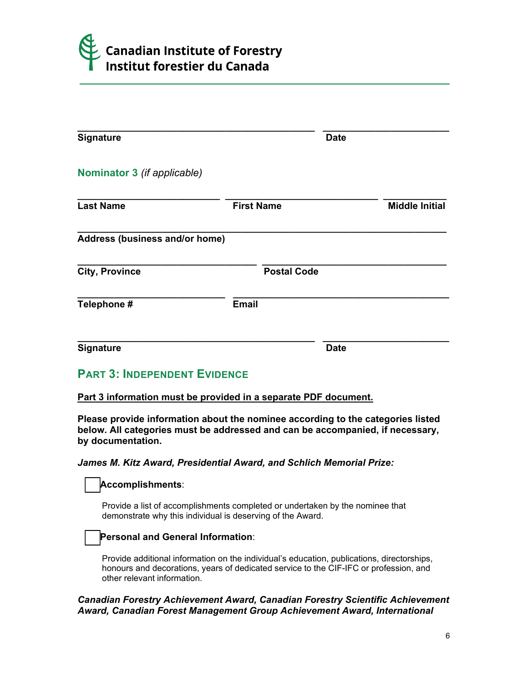

|                             | <b>Date</b>                    |                       |
|-----------------------------|--------------------------------|-----------------------|
|                             |                                |                       |
| <b>First Name</b>           |                                | <b>Middle Initial</b> |
|                             |                                |                       |
|                             |                                |                       |
|                             |                                |                       |
| <b>Email</b>                |                                |                       |
| Nominator 3 (if applicable) | Address (business and/or home) | <b>Postal Code</b>    |

# **PART 3: INDEPENDENT EVIDENCE**

#### **Part 3 information must be provided in a separate PDF document.**

**Please provide information about the nominee according to the categories listed below. All categories must be addressed and can be accompanied, if necessary, by documentation.**

#### *James M. Kitz Award, Presidential Award, and Schlich Memorial Prize:*

#### **Accomplishments**:

Provide a list of accomplishments completed or undertaken by the nominee that demonstrate why this individual is deserving of the Award.

# **Personal and General Information**:

Provide additional information on the individual's education, publications, directorships, honours and decorations, years of dedicated service to the CIF-IFC or profession, and other relevant information.

## *Canadian Forestry Achievement Award, Canadian Forestry Scientific Achievement Award, Canadian Forest Management Group Achievement Award, International*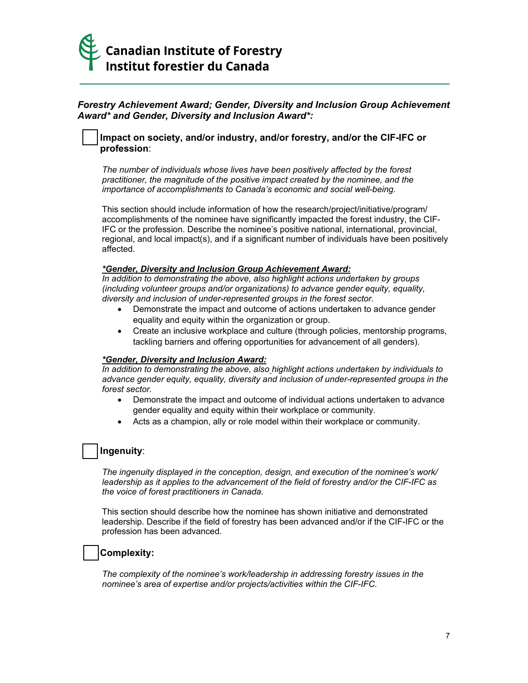

# *Forestry Achievement Award; Gender, Diversity and Inclusion Group Achievement Award\* and Gender, Diversity and Inclusion Award\*:*

## **Impact on society, and/or industry, and/or forestry, and/or the CIF-IFC or profession**:

*The number of individuals whose lives have been positively affected by the forest practitioner, the magnitude of the positive impact created by the nominee, and the importance of accomplishments to Canada's economic and social well-being.*

This section should include information of how the research/project/initiative/program/ accomplishments of the nominee have significantly impacted the forest industry, the CIF-IFC or the profession. Describe the nominee's positive national, international, provincial, regional, and local impact(s), and if a significant number of individuals have been positively affected.

#### *\*Gender, Diversity and Inclusion Group Achievement Award:*

*In addition to demonstrating the above, also highlight actions undertaken by groups (including volunteer groups and/or organizations) to advance gender equity, equality, diversity and inclusion of under-represented groups in the forest sector.*

- Demonstrate the impact and outcome of actions undertaken to advance gender equality and equity within the organization or group.
- Create an inclusive workplace and culture (through policies, mentorship programs, tackling barriers and offering opportunities for advancement of all genders).

#### *\*Gender, Diversity and Inclusion Award:*

*In addition to demonstrating the above, also highlight actions undertaken by individuals to advance gender equity, equality, diversity and inclusion of under-represented groups in the forest sector.*

- Demonstrate the impact and outcome of individual actions undertaken to advance gender equality and equity within their workplace or community.
- Acts as a champion, ally or role model within their workplace or community.

## **Ingenuity**:

*The ingenuity displayed in the conception, design, and execution of the nominee's work/ leadership as it applies to the advancement of the field of forestry and/or the CIF-IFC as the voice of forest practitioners in Canada.*

This section should describe how the nominee has shown initiative and demonstrated leadership. Describe if the field of forestry has been advanced and/or if the CIF-IFC or the profession has been advanced.

#### **Complexity:**

*The complexity of the nominee's work/leadership in addressing forestry issues in the nominee's area of expertise and/or projects/activities within the CIF-IFC.*